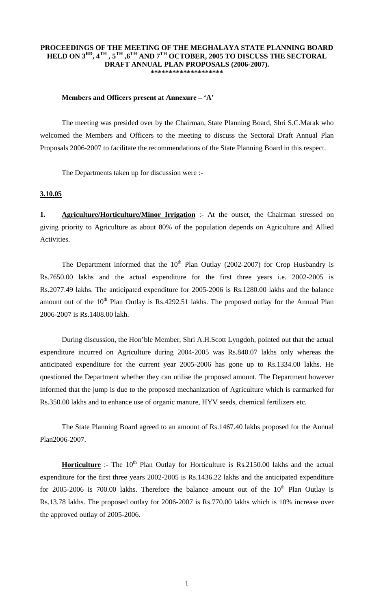#### **PROCEEDINGS OF THE MEETING OF THE MEGHALAYA STATE PLANNING BOARD HELD ON 3RD, 4TH , 5TH ,6TH AND 7TH OCTOBER, 2005 TO DISCUSS THE SECTORAL DRAFT ANNUAL PLAN PROPOSALS (2006-2007). \*\*\*\*\*\*\*\*\*\*\*\*\*\*\*\*\*\*\*\***

#### **Members and Officers present at Annexure – 'A'**

 The meeting was presided over by the Chairman, State Planning Board, Shri S.C.Marak who welcomed the Members and Officers to the meeting to discuss the Sectoral Draft Annual Plan Proposals 2006-2007 to facilitate the recommendations of the State Planning Board in this respect.

The Departments taken up for discussion were :-

### **3.10.05**

**1. Agriculture/Horticulture/Minor Irrigation** :- At the outset, the Chairman stressed on giving priority to Agriculture as about 80% of the population depends on Agriculture and Allied Activities.

The Department informed that the  $10<sup>th</sup>$  Plan Outlay (2002-2007) for Crop Husbandry is Rs.7650.00 lakhs and the actual expenditure for the first three years i.e. 2002-2005 is Rs.2077.49 lakhs. The anticipated expenditure for 2005-2006 is Rs.1280.00 lakhs and the balance amount out of the  $10<sup>th</sup>$  Plan Outlay is Rs.4292.51 lakhs. The proposed outlay for the Annual Plan 2006-2007 is Rs.1408.00 lakh.

 During discussion, the Hon'ble Member, Shri A.H.Scott Lyngdoh, pointed out that the actual expenditure incurred on Agriculture during 2004-2005 was Rs.840.07 lakhs only whereas the anticipated expenditure for the current year 2005-2006 has gone up to Rs.1334.00 lakhs. He questioned the Department whether they can utilise the proposed amount. The Department however informed that the jump is due to the proposed mechanization of Agriculture which is earmarked for Rs.350.00 lakhs and to enhance use of organic manure, HYV seeds, chemical fertilizers etc.

 The State Planning Board agreed to an amount of Rs.1467.40 lakhs proposed for the Annual Plan2006-2007.

**Horticulture** :- The 10<sup>th</sup> Plan Outlay for Horticulture is Rs.2150.00 lakhs and the actual expenditure for the first three years 2002-2005 is Rs.1436.22 lakhs and the anticipated expenditure for 2005-2006 is 700.00 lakhs. Therefore the balance amount out of the  $10<sup>th</sup>$  Plan Outlay is Rs.13.78 lakhs. The proposed outlay for 2006-2007 is Rs.770.00 lakhs which is 10% increase over the approved outlay of 2005-2006.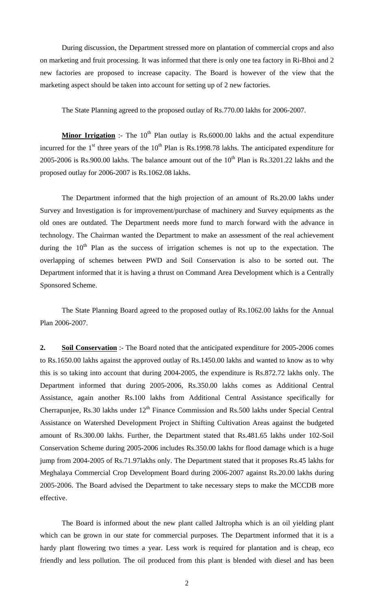During discussion, the Department stressed more on plantation of commercial crops and also on marketing and fruit processing. It was informed that there is only one tea factory in Ri-Bhoi and 2 new factories are proposed to increase capacity. The Board is however of the view that the marketing aspect should be taken into account for setting up of 2 new factories.

The State Planning agreed to the proposed outlay of Rs.770.00 lakhs for 2006-2007.

**Minor Irrigation** :- The 10<sup>th</sup> Plan outlay is Rs.6000.00 lakhs and the actual expenditure incurred for the  $1<sup>st</sup>$  three years of the  $10<sup>th</sup>$  Plan is Rs.1998.78 lakhs. The anticipated expenditure for 2005-2006 is Rs.900.00 lakhs. The balance amount out of the  $10^{th}$  Plan is Rs.3201.22 lakhs and the proposed outlay for 2006-2007 is Rs.1062.08 lakhs.

 The Department informed that the high projection of an amount of Rs.20.00 lakhs under Survey and Investigation is for improvement/purchase of machinery and Survey equipments as the old ones are outdated. The Department needs more fund to march forward with the advance in technology. The Chairman wanted the Department to make an assessment of the real achievement during the  $10<sup>th</sup>$  Plan as the success of irrigation schemes is not up to the expectation. The overlapping of schemes between PWD and Soil Conservation is also to be sorted out. The Department informed that it is having a thrust on Command Area Development which is a Centrally Sponsored Scheme.

 The State Planning Board agreed to the proposed outlay of Rs.1062.00 lakhs for the Annual Plan 2006-2007.

**2. Soil Conservation** :- The Board noted that the anticipated expenditure for 2005-2006 comes to Rs.1650.00 lakhs against the approved outlay of Rs.1450.00 lakhs and wanted to know as to why this is so taking into account that during 2004-2005, the expenditure is Rs.872.72 lakhs only. The Department informed that during 2005-2006, Rs.350.00 lakhs comes as Additional Central Assistance, again another Rs.100 lakhs from Additional Central Assistance specifically for Cherrapunjee, Rs.30 lakhs under  $12<sup>th</sup>$  Finance Commission and Rs.500 lakhs under Special Central Assistance on Watershed Development Project in Shifting Cultivation Areas against the budgeted amount of Rs.300.00 lakhs. Further, the Department stated that Rs.481.65 lakhs under 102-Soil Conservation Scheme during 2005-2006 includes Rs.350.00 lakhs for flood damage which is a huge jump from 2004-2005 of Rs.71.97lakhs only. The Department stated that it proposes Rs.45 lakhs for Meghalaya Commercial Crop Development Board during 2006-2007 against Rs.20.00 lakhs during 2005-2006. The Board advised the Department to take necessary steps to make the MCCDB more effective.

 The Board is informed about the new plant called Jaltropha which is an oil yielding plant which can be grown in our state for commercial purposes. The Department informed that it is a hardy plant flowering two times a year. Less work is required for plantation and is cheap, eco friendly and less pollution. The oil produced from this plant is blended with diesel and has been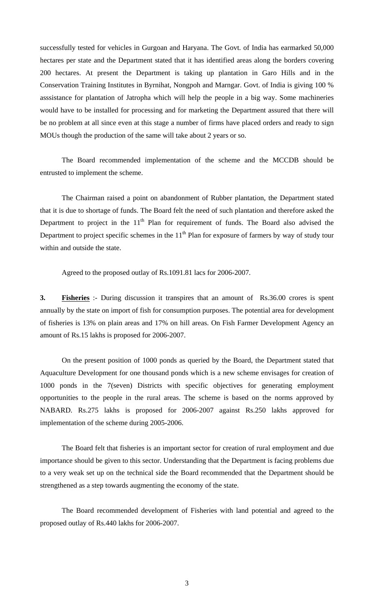successfully tested for vehicles in Gurgoan and Haryana. The Govt. of India has earmarked 50,000 hectares per state and the Department stated that it has identified areas along the borders covering 200 hectares. At present the Department is taking up plantation in Garo Hills and in the Conservation Training Institutes in Byrnihat, Nongpoh and Marngar. Govt. of India is giving 100 % asssistance for plantation of Jatropha which will help the people in a big way. Some machineries would have to be installed for processing and for marketing the Department assured that there will be no problem at all since even at this stage a number of firms have placed orders and ready to sign MOUs though the production of the same will take about 2 years or so.

 The Board recommended implementation of the scheme and the MCCDB should be entrusted to implement the scheme.

 The Chairman raised a point on abandonment of Rubber plantation, the Department stated that it is due to shortage of funds. The Board felt the need of such plantation and therefore asked the Department to project in the  $11<sup>th</sup>$  Plan for requirement of funds. The Board also advised the Department to project specific schemes in the  $11<sup>th</sup>$  Plan for exposure of farmers by way of study tour within and outside the state.

Agreed to the proposed outlay of Rs.1091.81 lacs for 2006-2007.

**3. Fisheries** :- During discussion it transpires that an amount of Rs.36.00 crores is spent annually by the state on import of fish for consumption purposes. The potential area for development of fisheries is 13% on plain areas and 17% on hill areas. On Fish Farmer Development Agency an amount of Rs.15 lakhs is proposed for 2006-2007.

 On the present position of 1000 ponds as queried by the Board, the Department stated that Aquaculture Development for one thousand ponds which is a new scheme envisages for creation of 1000 ponds in the 7(seven) Districts with specific objectives for generating employment opportunities to the people in the rural areas. The scheme is based on the norms approved by NABARD. Rs.275 lakhs is proposed for 2006-2007 against Rs.250 lakhs approved for implementation of the scheme during 2005-2006.

 The Board felt that fisheries is an important sector for creation of rural employment and due importance should be given to this sector. Understanding that the Department is facing problems due to a very weak set up on the technical side the Board recommended that the Department should be strengthened as a step towards augmenting the economy of the state.

 The Board recommended development of Fisheries with land potential and agreed to the proposed outlay of Rs.440 lakhs for 2006-2007.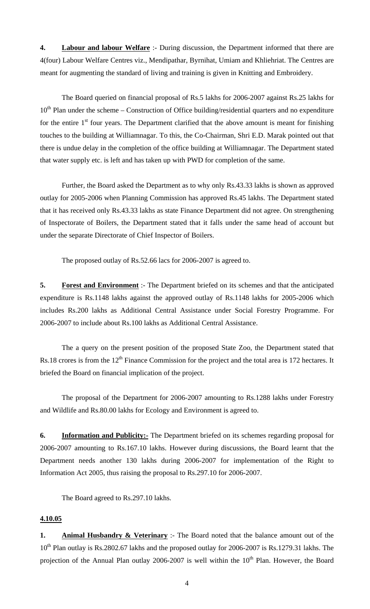**4. Labour and labour Welfare** :- During discussion, the Department informed that there are 4(four) Labour Welfare Centres viz., Mendipathar, Byrnihat, Umiam and Khliehriat. The Centres are meant for augmenting the standard of living and training is given in Knitting and Embroidery.

 The Board queried on financial proposal of Rs.5 lakhs for 2006-2007 against Rs.25 lakhs for  $10<sup>th</sup>$  Plan under the scheme – Construction of Office building/residential quarters and no expenditure for the entire  $1<sup>st</sup>$  four years. The Department clarified that the above amount is meant for finishing touches to the building at Williamnagar. To this, the Co-Chairman, Shri E.D. Marak pointed out that there is undue delay in the completion of the office building at Williamnagar. The Department stated that water supply etc. is left and has taken up with PWD for completion of the same.

 Further, the Board asked the Department as to why only Rs.43.33 lakhs is shown as approved outlay for 2005-2006 when Planning Commission has approved Rs.45 lakhs. The Department stated that it has received only Rs.43.33 lakhs as state Finance Department did not agree. On strengthening of Inspectorate of Boilers, the Department stated that it falls under the same head of account but under the separate Directorate of Chief Inspector of Boilers.

The proposed outlay of Rs.52.66 lacs for 2006-2007 is agreed to.

**5. Forest and Environment** :- The Department briefed on its schemes and that the anticipated expenditure is Rs.1148 lakhs against the approved outlay of Rs.1148 lakhs for 2005-2006 which includes Rs.200 lakhs as Additional Central Assistance under Social Forestry Programme. For 2006-2007 to include about Rs.100 lakhs as Additional Central Assistance.

 The a query on the present position of the proposed State Zoo, the Department stated that Rs.18 crores is from the 12<sup>th</sup> Finance Commission for the project and the total area is 172 hectares. It briefed the Board on financial implication of the project.

 The proposal of the Department for 2006-2007 amounting to Rs.1288 lakhs under Forestry and Wildlife and Rs.80.00 lakhs for Ecology and Environment is agreed to.

**6. Information and Publicity:-** The Department briefed on its schemes regarding proposal for 2006-2007 amounting to Rs.167.10 lakhs. However during discussions, the Board learnt that the Department needs another 130 lakhs during 2006-2007 for implementation of the Right to Information Act 2005, thus raising the proposal to Rs.297.10 for 2006-2007.

The Board agreed to Rs.297.10 lakhs.

# **4.10.05**

**1. Animal Husbandry & Veterinary** :- The Board noted that the balance amount out of the 10<sup>th</sup> Plan outlay is Rs.2802.67 lakhs and the proposed outlay for 2006-2007 is Rs.1279.31 lakhs. The projection of the Annual Plan outlay 2006-2007 is well within the 10<sup>th</sup> Plan. However, the Board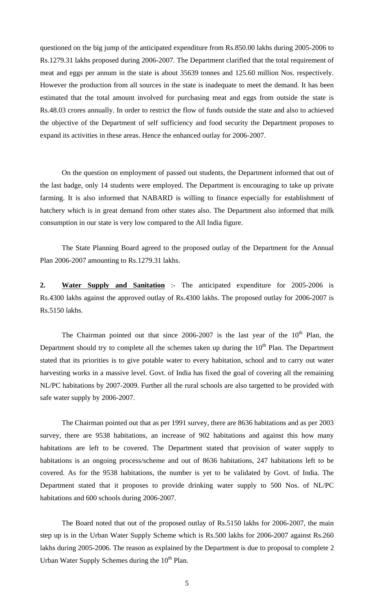questioned on the big jump of the anticipated expenditure from Rs.850.00 lakhs during 2005-2006 to Rs.1279.31 lakhs proposed during 2006-2007. The Department clarified that the total requirement of meat and eggs per annum in the state is about 35639 tonnes and 125.60 million Nos. respectively. However the production from all sources in the state is inadequate to meet the demand. It has been estimated that the total amount involved for purchasing meat and eggs from outside the state is Rs.48.03 crores annually. In order to restrict the flow of funds outside the state and also to achieved the objective of the Department of self sufficiency and food security the Department proposes to expand its activities in these areas. Hence the enhanced outlay for 2006-2007.

 On the question on employment of passed out students, the Department informed that out of the last badge, only 14 students were employed. The Department is encouraging to take up private farming. It is also informed that NABARD is willing to finance especially for establishment of hatchery which is in great demand from other states also. The Department also informed that milk consumption in our state is very low compared to the All India figure.

 The State Planning Board agreed to the proposed outlay of the Department for the Annual Plan 2006-2007 amounting to Rs.1279.31 lakhs.

**2. Water Supply and Sanitation** :- The anticipated expenditure for 2005-2006 is Rs.4300 lakhs against the approved outlay of Rs.4300 lakhs. The proposed outlay for 2006-2007 is Rs.5150 lakhs.

The Chairman pointed out that since  $2006-2007$  is the last year of the  $10<sup>th</sup>$  Plan, the Department should try to complete all the schemes taken up during the  $10<sup>th</sup>$  Plan. The Department stated that its priorities is to give potable water to every habitation, school and to carry out water harvesting works in a massive level. Govt. of India has fixed the goal of covering all the remaining NL/PC habitations by 2007-2009. Further all the rural schools are also targetted to be provided with safe water supply by 2006-2007.

 The Chairman pointed out that as per 1991 survey, there are 8636 habitations and as per 2003 survey, there are 9538 habitations, an increase of 902 habitations and against this how many habitations are left to be covered. The Department stated that provision of water supply to habitations is an ongoing process/scheme and out of 8636 habitations, 247 habitations left to be covered. As for the 9538 habitations, the number is yet to be validated by Govt. of India. The Department stated that it proposes to provide drinking water supply to 500 Nos. of NL/PC habitations and 600 schools during 2006-2007.

 The Board noted that out of the proposed outlay of Rs.5150 lakhs for 2006-2007, the main step up is in the Urban Water Supply Scheme which is Rs.500 lakhs for 2006-2007 against Rs.260 lakhs during 2005-2006. The reason as explained by the Department is due to proposal to complete 2 Urban Water Supply Schemes during the  $10<sup>th</sup>$  Plan.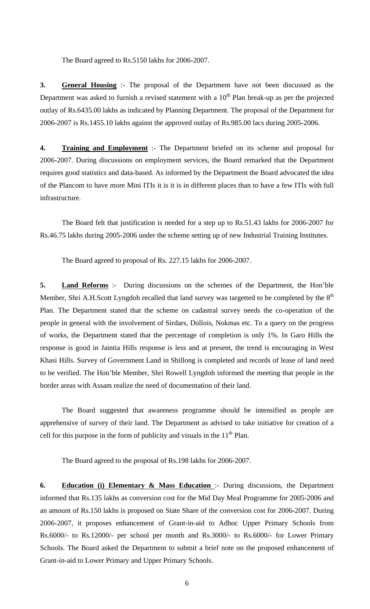The Board agreed to Rs.5150 lakhs for 2006-2007.

**3. General Housing** :- The proposal of the Department have not been discussed as the Department was asked to furnish a revised statement with a  $10<sup>th</sup>$  Plan break-up as per the projected outlay of Rs.6435.00 lakhs as indicated by Planning Department. The proposal of the Department for 2006-2007 is Rs.1455.10 lakhs against the approved outlay of Rs.985.00 lacs during 2005-2006.

**4. Training and Employment** :- The Department briefed on its scheme and proposal for 2006-2007. During discussions on employment services, the Board remarked that the Department requires good statistics and data-based. As informed by the Department the Board advocated the idea of the Plancom to have more Mini ITIs it is it is in different places than to have a few ITIs with full infrastructure.

 The Board felt that justification is needed for a step up to Rs.51.43 lakhs for 2006-2007 for Rs.46.75 lakhs during 2005-2006 under the scheme setting up of new Industrial Training Institutes.

The Board agreed to proposal of Rs. 227.15 lakhs for 2006-2007.

**5. Land Reforms** :- During discussions on the schemes of the Department, the Hon'ble Member, Shri A.H.Scott Lyngdoh recalled that land survey was targetted to be completed by the 8<sup>th</sup> Plan. The Department stated that the scheme on cadastral survey needs the co-operation of the people in general with the involvement of Sirdars, Dollois, Nokmas etc. To a query on the progress of works, the Department stated that the percentage of completion is only 1%. In Garo Hills the response is good in Jaintia Hills response is less and at present, the trend is encouraging in West Khasi Hills. Survey of Government Land in Shillong is completed and records of lease of land need to be verified. The Hon'ble Member, Shri Rowell Lyngdoh informed the meeting that people in the border areas with Assam realize the need of documentation of their land.

 The Board suggested that awareness programme should be intensified as people are apprehensive of survey of their land. The Department as advised to take initiative for creation of a cell for this purpose in the form of publicity and visuals in the  $11<sup>th</sup>$  Plan.

The Board agreed to the proposal of Rs.198 lakhs for 2006-2007.

**6. Education (i) Elementary & Mass Education** :- During discussions, the Department informed that Rs.135 lakhs as conversion cost for the Mid Day Meal Programme for 2005-2006 and an amount of Rs.150 lakhs is proposed on State Share of the conversion cost for 2006-2007. During 2006-2007, it proposes enhancement of Grant-in-aid to Adhoc Upper Primary Schools from Rs.6000/- to Rs.12000/- per school per month and Rs.3000/- to Rs.6000/- for Lower Primary Schools. The Board asked the Department to submit a brief note on the proposed enhancement of Grant-in-aid to Lower Primary and Upper Primary Schools.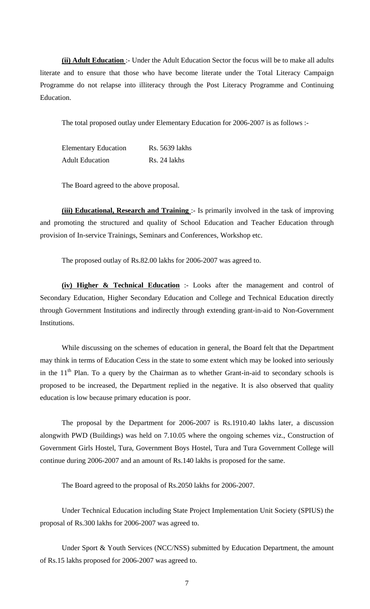**(ii) Adult Education** :- Under the Adult Education Sector the focus will be to make all adults literate and to ensure that those who have become literate under the Total Literacy Campaign Programme do not relapse into illiteracy through the Post Literacy Programme and Continuing Education.

The total proposed outlay under Elementary Education for 2006-2007 is as follows :-

Elementary Education Rs. 5639 lakhs Adult Education Rs. 24 lakhs

The Board agreed to the above proposal.

**(iii) Educational, Research and Training** :- Is primarily involved in the task of improving and promoting the structured and quality of School Education and Teacher Education through provision of In-service Trainings, Seminars and Conferences, Workshop etc.

The proposed outlay of Rs.82.00 lakhs for 2006-2007 was agreed to.

**(iv) Higher & Technical Education** :- Looks after the management and control of Secondary Education, Higher Secondary Education and College and Technical Education directly through Government Institutions and indirectly through extending grant-in-aid to Non-Government Institutions.

 While discussing on the schemes of education in general, the Board felt that the Department may think in terms of Education Cess in the state to some extent which may be looked into seriously in the  $11<sup>th</sup>$  Plan. To a query by the Chairman as to whether Grant-in-aid to secondary schools is proposed to be increased, the Department replied in the negative. It is also observed that quality education is low because primary education is poor.

 The proposal by the Department for 2006-2007 is Rs.1910.40 lakhs later, a discussion alongwith PWD (Buildings) was held on 7.10.05 where the ongoing schemes viz., Construction of Government Girls Hostel, Tura, Government Boys Hostel, Tura and Tura Government College will continue during 2006-2007 and an amount of Rs.140 lakhs is proposed for the same.

The Board agreed to the proposal of Rs.2050 lakhs for 2006-2007.

 Under Technical Education including State Project Implementation Unit Society (SPIUS) the proposal of Rs.300 lakhs for 2006-2007 was agreed to.

 Under Sport & Youth Services (NCC/NSS) submitted by Education Department, the amount of Rs.15 lakhs proposed for 2006-2007 was agreed to.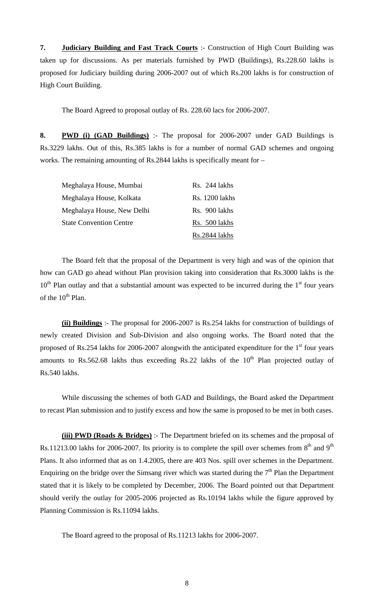**7. Judiciary Building and Fast Track Courts** :- Construction of High Court Building was taken up for discussions. As per materials furnished by PWD (Buildings), Rs.228.60 lakhs is proposed for Judiciary building during 2006-2007 out of which Rs.200 lakhs is for construction of High Court Building.

The Board Agreed to proposal outlay of Rs. 228.60 lacs for 2006-2007.

**8. PWD (i) (GAD Buildings)** :- The proposal for 2006-2007 under GAD Buildings is Rs.3229 lakhs. Out of this, Rs.385 lakhs is for a number of normal GAD schemes and ongoing works. The remaining amounting of Rs.2844 lakhs is specifically meant for –

| Meghalaya House, Mumbai        | Rs. 244 lakhs         |
|--------------------------------|-----------------------|
| Meghalaya House, Kolkata       | <b>Rs.</b> 1200 lakhs |
| Meghalaya House, New Delhi     | Rs. 900 lakhs         |
| <b>State Convention Centre</b> | Rs. 500 lakhs         |
|                                | Rs.2844 lakhs         |

 The Board felt that the proposal of the Department is very high and was of the opinion that how can GAD go ahead without Plan provision taking into consideration that Rs.3000 lakhs is the  $10<sup>th</sup>$  Plan outlay and that a substantial amount was expected to be incurred during the  $1<sup>st</sup>$  four years of the 10<sup>th</sup> Plan.

**(ii) Buildings** :- The proposal for 2006-2007 is Rs.254 lakhs for construction of buildings of newly created Division and Sub-Division and also ongoing works. The Board noted that the proposed of Rs.254 lakhs for 2006-2007 alongwith the anticipated expenditure for the  $1<sup>st</sup>$  four years amounts to Rs.562.68 lakhs thus exceeding Rs.22 lakhs of the  $10<sup>th</sup>$  Plan projected outlay of Rs.540 lakhs.

 While discussing the schemes of both GAD and Buildings, the Board asked the Department to recast Plan submission and to justify excess and how the same is proposed to be met in both cases.

**(iii) PWD (Roads & Bridges)** :- The Department briefed on its schemes and the proposal of Rs.11213.00 lakhs for 2006-2007. Its priority is to complete the spill over schemes from  $8<sup>th</sup>$  and  $9<sup>th</sup>$ Plans. It also informed that as on 1.4.2005, there are 403 Nos. spill over schemes in the Department. Enquiring on the bridge over the Simsang river which was started during the  $7<sup>th</sup>$  Plan the Department stated that it is likely to be completed by December, 2006. The Board pointed out that Department should verify the outlay for 2005-2006 projected as Rs.10194 lakhs while the figure approved by Planning Commission is Rs.11094 lakhs.

The Board agreed to the proposal of Rs.11213 lakhs for 2006-2007.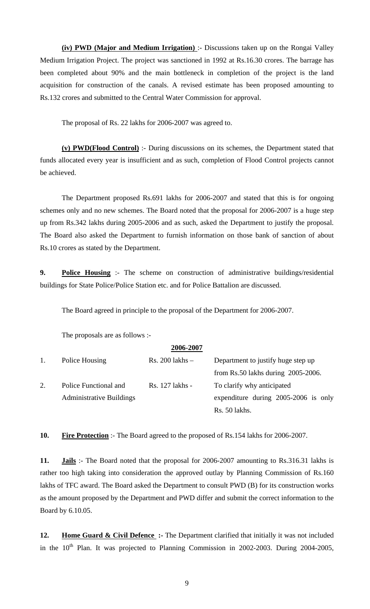**(iv) PWD (Major and Medium Irrigation)** :- Discussions taken up on the Rongai Valley Medium Irrigation Project. The project was sanctioned in 1992 at Rs.16.30 crores. The barrage has been completed about 90% and the main bottleneck in completion of the project is the land acquisition for construction of the canals. A revised estimate has been proposed amounting to Rs.132 crores and submitted to the Central Water Commission for approval.

The proposal of Rs. 22 lakhs for 2006-2007 was agreed to.

**(v) PWD(Flood Control)** :- During discussions on its schemes, the Department stated that funds allocated every year is insufficient and as such, completion of Flood Control projects cannot be achieved.

 The Department proposed Rs.691 lakhs for 2006-2007 and stated that this is for ongoing schemes only and no new schemes. The Board noted that the proposal for 2006-2007 is a huge step up from Rs.342 lakhs during 2005-2006 and as such, asked the Department to justify the proposal. The Board also asked the Department to furnish information on those bank of sanction of about Rs.10 crores as stated by the Department.

**9. Police Housing** :- The scheme on construction of administrative buildings/residential buildings for State Police/Police Station etc. and for Police Battalion are discussed.

The Board agreed in principle to the proposal of the Department for 2006-2007.

The proposals are as follows :-

|    |                                 | 2006-2007           |                                       |  |
|----|---------------------------------|---------------------|---------------------------------------|--|
| 1. | Police Housing                  | $Rs. 200$ lakhs $-$ | Department to justify huge step up    |  |
|    |                                 |                     | from Rs.50 lakhs during $2005-2006$ . |  |
| 2. | Police Functional and           | Rs. 127 lakhs -     | To clarify why anticipated            |  |
|    | <b>Administrative Buildings</b> |                     | expenditure during 2005-2006 is only  |  |
|    |                                 |                     | Rs. 50 lakhs.                         |  |

**10. Fire Protection** :- The Board agreed to the proposed of Rs.154 lakhs for 2006-2007.

**11. Jails** :- The Board noted that the proposal for 2006-2007 amounting to Rs.316.31 lakhs is rather too high taking into consideration the approved outlay by Planning Commission of Rs.160 lakhs of TFC award. The Board asked the Department to consult PWD (B) for its construction works as the amount proposed by the Department and PWD differ and submit the correct information to the Board by 6.10.05.

12. **Home Guard & Civil Defence** :- The Department clarified that initially it was not included in the  $10^{th}$  Plan. It was projected to Planning Commission in 2002-2003. During 2004-2005,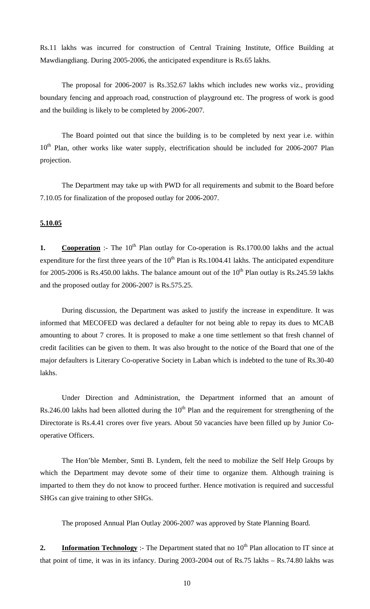Rs.11 lakhs was incurred for construction of Central Training Institute, Office Building at Mawdiangdiang. During 2005-2006, the anticipated expenditure is Rs.65 lakhs.

 The proposal for 2006-2007 is Rs.352.67 lakhs which includes new works viz., providing boundary fencing and approach road, construction of playground etc. The progress of work is good and the building is likely to be completed by 2006-2007.

 The Board pointed out that since the building is to be completed by next year i.e. within  $10<sup>th</sup>$  Plan, other works like water supply, electrification should be included for 2006-2007 Plan projection.

 The Department may take up with PWD for all requirements and submit to the Board before 7.10.05 for finalization of the proposed outlay for 2006-2007.

## **5.10.05**

**1.** Cooperation :- The 10<sup>th</sup> Plan outlay for Co-operation is Rs.1700.00 lakhs and the actual expenditure for the first three years of the  $10<sup>th</sup>$  Plan is Rs.1004.41 lakhs. The anticipated expenditure for 2005-2006 is Rs.450.00 lakhs. The balance amount out of the  $10^{th}$  Plan outlay is Rs.245.59 lakhs and the proposed outlay for 2006-2007 is Rs.575.25.

 During discussion, the Department was asked to justify the increase in expenditure. It was informed that MECOFED was declared a defaulter for not being able to repay its dues to MCAB amounting to about 7 crores. It is proposed to make a one time settlement so that fresh channel of credit facilities can be given to them. It was also brought to the notice of the Board that one of the major defaulters is Literary Co-operative Society in Laban which is indebted to the tune of Rs.30-40 lakhs.

 Under Direction and Administration, the Department informed that an amount of Rs.246.00 lakhs had been allotted during the  $10<sup>th</sup>$  Plan and the requirement for strengthening of the Directorate is Rs.4.41 crores over five years. About 50 vacancies have been filled up by Junior Cooperative Officers.

 The Hon'ble Member, Smti B. Lyndem, felt the need to mobilize the Self Help Groups by which the Department may devote some of their time to organize them. Although training is imparted to them they do not know to proceed further. Hence motivation is required and successful SHGs can give training to other SHGs.

The proposed Annual Plan Outlay 2006-2007 was approved by State Planning Board.

**2.** Information Technology :- The Department stated that no  $10<sup>th</sup>$  Plan allocation to IT since at that point of time, it was in its infancy. During 2003-2004 out of Rs.75 lakhs – Rs.74.80 lakhs was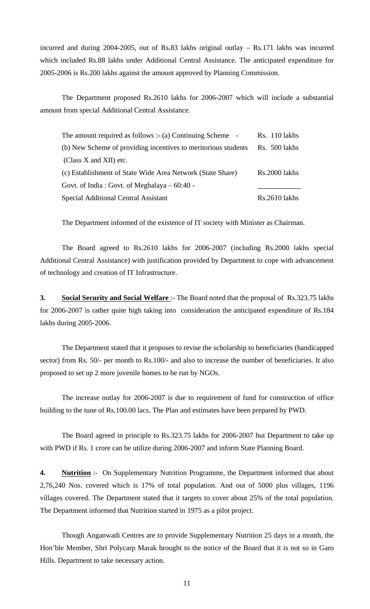incurred and during 2004-2005, out of Rs.83 lakhs original outlay – Rs.171 lakhs was incurred which included Rs.88 lakhs under Additional Central Assistance. The anticipated expenditure for 2005-2006 is Rs.200 lakhs against the amount approved by Planning Commission.

The Department proposed Rs.2610 lakhs for 2006-2007 which will include a substantial amount from special Additional Central Assistance.

| The amount required as follows :- (a) Continuing Scheme $\sim$ | Rs. 110 lakhs |
|----------------------------------------------------------------|---------------|
| (b) New Scheme of providing incentives to meritorious students | Rs. 500 lakhs |
| (Class $X$ and $XII$ ) etc.                                    |               |
| (c) Establishment of State Wide Area Network (State Share)     | Rs.2000 lakhs |
| Govt. of India: Govt. of Meghalaya – 60:40 -                   |               |
| Special Additional Central Assistant                           | Rs.2610 lakhs |

The Department informed of the existence of IT society with Minister as Chairman.

 The Board agreed to Rs.2610 lakhs for 2006-2007 (including Rs.2000 lakhs special Additional Central Assistance) with justification provided by Department to cope with advancement of technology and creation of IT Infrastructure.

**3.** Social Security and Social Welfare: The Board noted that the proposal of Rs.323.75 lakhs for 2006-2007 is rather quite high taking into consideration the anticipated expenditure of Rs.184 lakhs during 2005-2006.

 The Department stated that it proposes to revise the scholarship to beneficiaries (handicapped sector) from Rs. 50/- per month to Rs.100/- and also to increase the number of beneficiaries. It also proposed to set up 2 more juvenile homes to be run by NGOs.

 The increase outlay for 2006-2007 is due to requirement of fund for construction of office building to the tune of Rs.100.00 lacs. The Plan and estimates have been prepared by PWD.

 The Board agreed in principle to Rs.323.75 lakhs for 2006-2007 but Department to take up with PWD if Rs. 1 crore can be utilize during 2006-2007 and inform State Planning Board.

**4. Nutrition** :- On Supplementary Nutrition Programme, the Department informed that about 2,76,240 Nos. covered which is 17% of total population. And out of 5000 plus villages, 1196 villages covered. The Department stated that it targets to cover about 25% of the total population. The Department informed that Nutrition started in 1975 as a pilot project.

 Though Anganwadi Centres are to provide Supplementary Nutrition 25 days in a month, the Hon'ble Member, Shri Polycarp Marak brought to the notice of the Board that it is not so in Garo Hills. Department to take necessary action.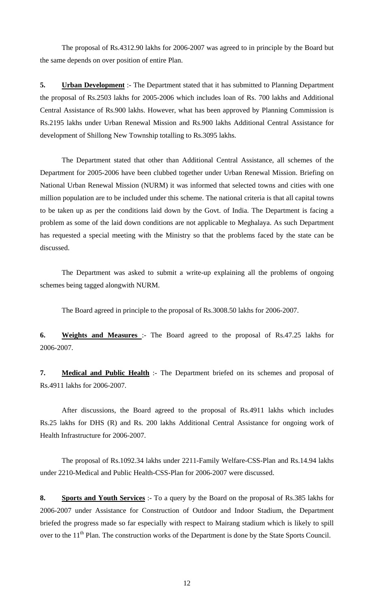The proposal of Rs.4312.90 lakhs for 2006-2007 was agreed to in principle by the Board but the same depends on over position of entire Plan.

**5. Urban Development** :- The Department stated that it has submitted to Planning Department the proposal of Rs.2503 lakhs for 2005-2006 which includes loan of Rs. 700 lakhs and Additional Central Assistance of Rs.900 lakhs. However, what has been approved by Planning Commission is Rs.2195 lakhs under Urban Renewal Mission and Rs.900 lakhs Additional Central Assistance for development of Shillong New Township totalling to Rs.3095 lakhs.

 The Department stated that other than Additional Central Assistance, all schemes of the Department for 2005-2006 have been clubbed together under Urban Renewal Mission. Briefing on National Urban Renewal Mission (NURM) it was informed that selected towns and cities with one million population are to be included under this scheme. The national criteria is that all capital towns to be taken up as per the conditions laid down by the Govt. of India. The Department is facing a problem as some of the laid down conditions are not applicable to Meghalaya. As such Department has requested a special meeting with the Ministry so that the problems faced by the state can be discussed.

 The Department was asked to submit a write-up explaining all the problems of ongoing schemes being tagged alongwith NURM.

The Board agreed in principle to the proposal of Rs.3008.50 lakhs for 2006-2007.

**6. Weights and Measures** :- The Board agreed to the proposal of Rs.47.25 lakhs for 2006-2007.

**7.** Medical and Public Health :- The Department briefed on its schemes and proposal of Rs.4911 lakhs for 2006-2007.

 After discussions, the Board agreed to the proposal of Rs.4911 lakhs which includes Rs.25 lakhs for DHS (R) and Rs. 200 lakhs Additional Central Assistance for ongoing work of Health Infrastructure for 2006-2007.

 The proposal of Rs.1092.34 lakhs under 2211-Family Welfare-CSS-Plan and Rs.14.94 lakhs under 2210-Medical and Public Health-CSS-Plan for 2006-2007 were discussed.

**8. Sports and Youth Services** :- To a query by the Board on the proposal of Rs.385 lakhs for 2006-2007 under Assistance for Construction of Outdoor and Indoor Stadium, the Department briefed the progress made so far especially with respect to Mairang stadium which is likely to spill over to the 11<sup>th</sup> Plan. The construction works of the Department is done by the State Sports Council.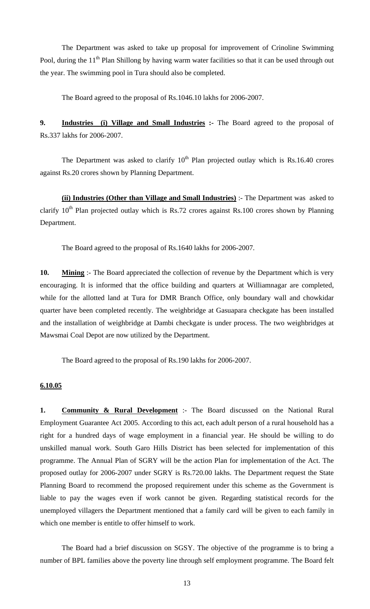The Department was asked to take up proposal for improvement of Crinoline Swimming Pool, during the 11<sup>th</sup> Plan Shillong by having warm water facilities so that it can be used through out the year. The swimming pool in Tura should also be completed.

The Board agreed to the proposal of Rs.1046.10 lakhs for 2006-2007.

**9. Industries (i) Village and Small Industries :-** The Board agreed to the proposal of Rs.337 lakhs for 2006-2007.

The Department was asked to clarify  $10<sup>th</sup>$  Plan projected outlay which is Rs.16.40 crores against Rs.20 crores shown by Planning Department.

**(ii) Industries (Other than Village and Small Industries)** :- The Department was asked to clarify  $10<sup>th</sup>$  Plan projected outlay which is Rs.72 crores against Rs.100 crores shown by Planning Department.

The Board agreed to the proposal of Rs.1640 lakhs for 2006-2007.

**10.** Mining :- The Board appreciated the collection of revenue by the Department which is very encouraging. It is informed that the office building and quarters at Williamnagar are completed, while for the allotted land at Tura for DMR Branch Office, only boundary wall and chowkidar quarter have been completed recently. The weighbridge at Gasuapara checkgate has been installed and the installation of weighbridge at Dambi checkgate is under process. The two weighbridges at Mawsmai Coal Depot are now utilized by the Department.

The Board agreed to the proposal of Rs.190 lakhs for 2006-2007.

### **6.10.05**

**1. Community & Rural Development** :- The Board discussed on the National Rural Employment Guarantee Act 2005. According to this act, each adult person of a rural household has a right for a hundred days of wage employment in a financial year. He should be willing to do unskilled manual work. South Garo Hills District has been selected for implementation of this programme. The Annual Plan of SGRY will be the action Plan for implementation of the Act. The proposed outlay for 2006-2007 under SGRY is Rs.720.00 lakhs. The Department request the State Planning Board to recommend the proposed requirement under this scheme as the Government is liable to pay the wages even if work cannot be given. Regarding statistical records for the unemployed villagers the Department mentioned that a family card will be given to each family in which one member is entitle to offer himself to work.

 The Board had a brief discussion on SGSY. The objective of the programme is to bring a number of BPL families above the poverty line through self employment programme. The Board felt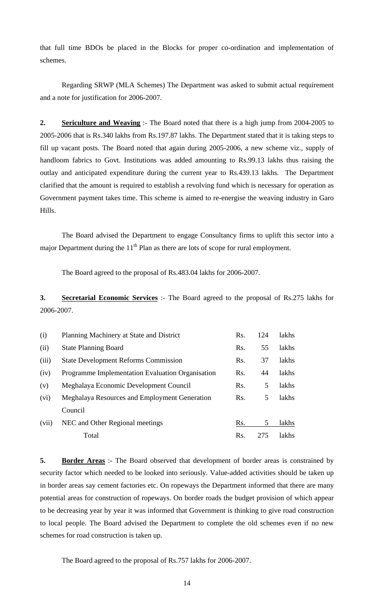that full time BDOs be placed in the Blocks for proper co-ordination and implementation of schemes.

 Regarding SRWP (MLA Schemes) The Department was asked to submit actual requirement and a note for justification for 2006-2007.

**2. Sericulture and Weaving** :- The Board noted that there is a high jump from 2004-2005 to 2005-2006 that is Rs.340 lakhs from Rs.197.87 lakhs. The Department stated that it is taking steps to fill up vacant posts. The Board noted that again during 2005-2006, a new scheme viz., supply of handloom fabrics to Govt. Institutions was added amounting to Rs.99.13 lakhs thus raising the outlay and anticipated expenditure during the current year to Rs.439.13 lakhs. The Department clarified that the amount is required to establish a revolving fund which is necessary for operation as Government payment takes time. This scheme is aimed to re-energise the weaving industry in Garo Hills.

 The Board advised the Department to engage Consultancy firms to uplift this sector into a major Department during the  $11<sup>th</sup>$  Plan as there are lots of scope for rural employment.

The Board agreed to the proposal of Rs.483.04 lakhs for 2006-2007.

**3. Secretarial Economic Services** :- The Board agreed to the proposal of Rs.275 lakhs for 2006-2007.

| (i)   | Planning Machinery at State and District         | Rs. | 124 | <i>lakhs</i> |
|-------|--------------------------------------------------|-----|-----|--------------|
| (ii)  | <b>State Planning Board</b>                      | Rs. | 55  | lakhs        |
| (iii) | <b>State Development Reforms Commission</b>      | Rs. | 37  | lakhs        |
| (iv)  | Programme Implementation Evaluation Organisation | Rs. | 44  | lakhs        |
| (v)   | Meghalaya Economic Development Council           | Rs. | 5   | lakhs        |
| (vi)  | Meghalaya Resources and Employment Generation    | Rs. | 5   | lakhs        |
|       | Council                                          |     |     |              |
| (vii) | NEC and Other Regional meetings                  | Rs. | 5   | lakhs        |
|       | Total                                            | Rs. | 275 | lakhs        |

**5. Border Areas** :- The Board observed that development of border areas is constrained by security factor which needed to be looked into seriously. Value-added activities should be taken up in border areas say cement factories etc. On ropeways the Department informed that there are many potential areas for construction of ropeways. On border roads the budget provision of which appear to be decreasing year by year it was informed that Government is thinking to give road construction to local people. The Board advised the Department to complete the old schemes even if no new schemes for road construction is taken up.

The Board agreed to the proposal of Rs.757 lakhs for 2006-2007.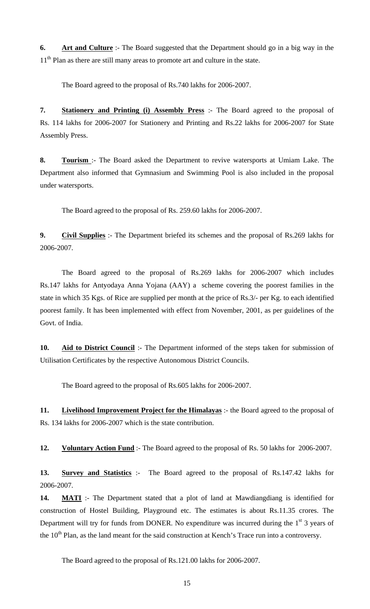**6. Art and Culture** :- The Board suggested that the Department should go in a big way in the 11<sup>th</sup> Plan as there are still many areas to promote art and culture in the state.

The Board agreed to the proposal of Rs.740 lakhs for 2006-2007.

**7. Stationery and Printing (i) Assembly Press** :- The Board agreed to the proposal of Rs. 114 lakhs for 2006-2007 for Stationery and Printing and Rs.22 lakhs for 2006-2007 for State Assembly Press.

**8. Tourism** :- The Board asked the Department to revive watersports at Umiam Lake. The Department also informed that Gymnasium and Swimming Pool is also included in the proposal under watersports.

The Board agreed to the proposal of Rs. 259.60 lakhs for 2006-2007.

**9. Civil Supplies** :- The Department briefed its schemes and the proposal of Rs.269 lakhs for 2006-2007.

 The Board agreed to the proposal of Rs.269 lakhs for 2006-2007 which includes Rs.147 lakhs for Antyodaya Anna Yojana (AAY) a scheme covering the poorest families in the state in which 35 Kgs. of Rice are supplied per month at the price of Rs.3/- per Kg. to each identified poorest family. It has been implemented with effect from November, 2001, as per guidelines of the Govt. of India.

10. **Aid to District Council** :- The Department informed of the steps taken for submission of Utilisation Certificates by the respective Autonomous District Councils.

The Board agreed to the proposal of Rs.605 lakhs for 2006-2007.

**11. Livelihood Improvement Project for the Himalayas** :- the Board agreed to the proposal of Rs. 134 lakhs for 2006-2007 which is the state contribution.

**12. Voluntary Action Fund** :- The Board agreed to the proposal of Rs. 50 lakhs for 2006-2007.

**13. Survey and Statistics** :- The Board agreed to the proposal of Rs.147.42 lakhs for 2006-2007.

**14. MATI** :- The Department stated that a plot of land at Mawdiangdiang is identified for construction of Hostel Building, Playground etc. The estimates is about Rs.11.35 crores. The Department will try for funds from DONER. No expenditure was incurred during the  $1<sup>st</sup>$  3 years of the 10<sup>th</sup> Plan, as the land meant for the said construction at Kench's Trace run into a controversy.

The Board agreed to the proposal of Rs.121.00 lakhs for 2006-2007.